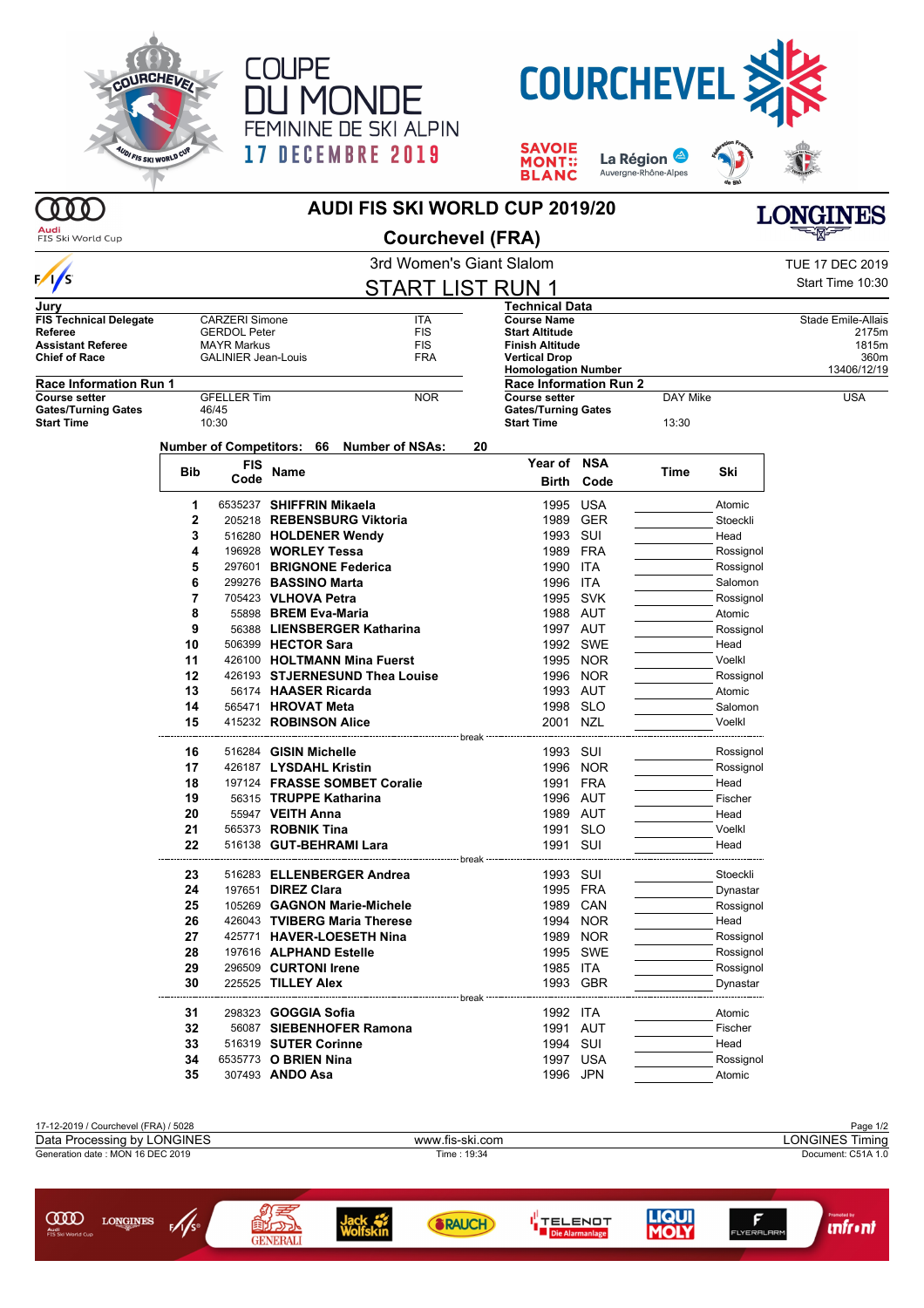

 $\gamma$ 





**SAVOIE<br>MONT::<br>BLANC** La Région Auvergne-Rhône-Alpes **AUDI FIS SKI WORLD CUP 2019/20**



| Audi<br>FIS Ski World Cup                       |     |                            |                      | <b>Courchevel (FRA)</b>                   |    |                                                    |            |          |           |                        |
|-------------------------------------------------|-----|----------------------------|----------------------|-------------------------------------------|----|----------------------------------------------------|------------|----------|-----------|------------------------|
|                                                 |     |                            |                      | 3rd Women's Giant Slalom                  |    |                                                    |            |          |           | <b>TUE 17 DEC 2019</b> |
| $\frac{1}{s}$                                   |     |                            |                      | <b>START LIST RUN 1</b>                   |    |                                                    |            |          |           | Start Time 10:30       |
| Jurv                                            |     |                            |                      |                                           |    | <b>Technical Data</b>                              |            |          |           |                        |
| <b>FIS Technical Delegate</b>                   |     | <b>CARZERI Simone</b>      |                      | ITA                                       |    | <b>Course Name</b>                                 |            |          |           | Stade Emile-Allais     |
| Referee                                         |     | <b>GERDOL Peter</b>        |                      | <b>FIS</b>                                |    | <b>Start Altitude</b>                              |            |          |           | 2175m                  |
| <b>Assistant Referee</b>                        |     | <b>MAYR Markus</b>         |                      | <b>FIS</b>                                |    | <b>Finish Altitude</b>                             |            |          |           | 1815m                  |
| <b>Chief of Race</b>                            |     | <b>GALINIER Jean-Louis</b> |                      | <b>FRA</b>                                |    | <b>Vertical Drop</b><br><b>Homologation Number</b> |            |          |           | 360m<br>13406/12/19    |
| <b>Race Information Run 1</b>                   |     |                            |                      |                                           |    | <b>Race Information Run 2</b>                      |            |          |           |                        |
| <b>Course setter</b>                            |     | <b>GFELLER Tim</b>         |                      | <b>NOR</b>                                |    | <b>Course setter</b>                               |            | DAY Mike |           | <b>USA</b>             |
| <b>Gates/Turning Gates</b><br><b>Start Time</b> |     | 46/45<br>10:30             |                      |                                           |    | <b>Gates/Turning Gates</b><br><b>Start Time</b>    |            | 13:30    |           |                        |
|                                                 |     |                            |                      | Number of Competitors: 66 Number of NSAs: | 20 |                                                    |            |          |           |                        |
|                                                 |     | <b>FIS</b>                 |                      |                                           |    | Year of NSA                                        |            |          |           |                        |
|                                                 | Bib | Code                       | Name                 |                                           |    | Birth                                              | Code       | Time     | Ski       |                        |
|                                                 | 1   | 6535237 SHIFFRIN Mikaela   |                      |                                           |    |                                                    | 1995 USA   |          | Atomic    |                        |
|                                                 | 2   |                            |                      | 205218 REBENSBURG Viktoria                |    | 1989                                               | GER        |          | Stoeckli  |                        |
|                                                 | 3   |                            |                      | 516280 HOLDENER Wendy                     |    | 1993 SUI                                           |            |          | Head      |                        |
|                                                 | 4   | 196928 WORLEY Tessa        |                      |                                           |    | 1989                                               | FRA        |          | Rossignol |                        |
|                                                 | 5   |                            |                      | 297601 BRIGNONE Federica                  |    | 1990                                               | ITA        |          |           |                        |
|                                                 | 6   |                            |                      |                                           |    |                                                    |            |          | Rossignol |                        |
|                                                 |     | 299276 BASSINO Marta       |                      |                                           |    | 1996                                               | ITA        |          | Salomon   |                        |
|                                                 | 7   | 705423 VLHOVA Petra        |                      |                                           |    | 1995                                               | SVK        |          | Rossignol |                        |
|                                                 | 8   |                            | 55898 BREM Eva-Maria |                                           |    |                                                    | 1988 AUT   |          | Atomic    |                        |
|                                                 | 9   |                            |                      | 56388 LIENSBERGER Katharina               |    |                                                    | 1997 AUT   |          | Rossignol |                        |
|                                                 | 10  | 506399 HECTOR Sara         |                      |                                           |    | 1992                                               | SWE        |          | Head      |                        |
|                                                 | 11  |                            |                      | 426100 HOLTMANN Mina Fuerst               |    |                                                    | 1995 NOR   |          | Voelkl    |                        |
|                                                 | 12  |                            |                      | 426193 STJERNESUND Thea Louise            |    |                                                    | 1996 NOR   |          | Rossignol |                        |
|                                                 | 13  |                            | 56174 HAASER Ricarda |                                           |    |                                                    | 1993 AUT   |          | Atomic    |                        |
|                                                 | 14  | 565471 HROVAT Meta         |                      |                                           |    | 1998                                               | <b>SLO</b> |          | Salomon   |                        |
|                                                 | 15  | 415232 ROBINSON Alice      |                      |                                           |    | 2001                                               | NZL        |          | Voelkl    |                        |
|                                                 | 16  | 516284 GISIN Michelle      |                      |                                           |    | 1993 SUI                                           |            |          | Rossignol |                        |
|                                                 | 17  | 426187 LYSDAHL Kristin     |                      |                                           |    | 1996                                               | NOR        |          | Rossignol |                        |
|                                                 | 18  |                            |                      | 197124 FRASSE SOMBET Coralie              |    | 1991                                               | FRA        |          | Head      |                        |
|                                                 | 19  |                            |                      | 56315 TRUPPE Katharina                    |    |                                                    | 1996 AUT   |          | Fischer   |                        |
|                                                 | 20  |                            | 55947 VEITH Anna     |                                           |    |                                                    | 1989 AUT   |          | Head      |                        |
|                                                 | 21  | 565373 ROBNIK Tina         |                      |                                           |    | 1991                                               | <b>SLO</b> |          | Voelkl    |                        |
|                                                 | 22  |                            |                      | 516138 GUT-BEHRAMI Lara                   |    | 1991                                               | SUI        |          | Head      |                        |
|                                                 |     |                            |                      |                                           |    |                                                    |            |          |           |                        |
|                                                 | 23  |                            |                      | 516283 ELLENBERGER Andrea                 |    | 1993 SUI                                           |            |          | Stoeckli  |                        |
|                                                 | 24  | 197651 <b>DIREZ Clara</b>  |                      |                                           |    |                                                    | 1995 FRA   |          | Dynastar  |                        |
|                                                 | 25  |                            |                      | 105269 GAGNON Marie-Michele               |    |                                                    | 1989 CAN   |          | Rossignol |                        |
|                                                 | 26  |                            |                      | 426043 TVIBERG Maria Therese              |    |                                                    | 1994 NOR   |          | Head      |                        |
|                                                 | 27  |                            |                      | 425771 HAVER-LOESETH Nina                 |    |                                                    | 1989 NOR   |          | Rossignol |                        |
|                                                 | 28  |                            |                      | 197616 ALPHAND Estelle                    |    |                                                    | 1995 SWE   |          | Rossignol |                        |
|                                                 | 29  | 296509 CURTONI Irene       |                      |                                           |    | 1985 ITA                                           |            |          | Rossignol |                        |
|                                                 | 30  | 225525 TILLEY Alex         |                      |                                           |    |                                                    | 1993 GBR   |          | Dynastar  |                        |
|                                                 | 31  | 298323 <b>GOGGIA Sofia</b> |                      | ---------------------- break              |    | 1992 ITA                                           |            |          | Atomic    |                        |
|                                                 | 32  |                            |                      | 56087 SIEBENHOFER Ramona                  |    |                                                    | 1991 AUT   |          | Fischer   |                        |
|                                                 | 33  | 516319 SUTER Corinne       |                      |                                           |    | 1994 SUI                                           |            |          | Head      |                        |
|                                                 | 34  | 6535773 O BRIEN Nina       |                      |                                           |    |                                                    | 1997 USA   |          | Rossignol |                        |
|                                                 | 35  | 307493 ANDO Asa            |                      |                                           |    |                                                    | 1996 JPN   |          | Atomic    |                        |
|                                                 |     |                            |                      |                                           |    |                                                    |            |          |           |                        |



GENERALI

ige